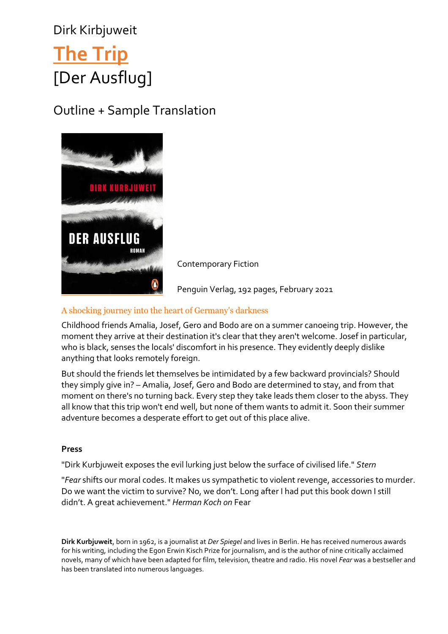## Dirk Kirbjuweit **[The](https://foreignrights.penguinrandomhouse.de/trip/978-3-328-60171-5) Trip** [Der Ausflug]

Outline + Sample Translation



Contemporary Fiction

Penguin Verlag, 192 pages, February 2021

## A shocking journey into the heart of Germany's darkness

Childhood friends Amalia, Josef, Gero and Bodo are on a summer canoeing trip. However, the moment they arrive at their destination it's clear that they aren't welcome. Josef in particular, who is black, senses the locals' discomfort in his presence. They evidently deeply dislike anything that looks remotely foreign.

But should the friends let themselves be intimidated by a few backward provincials? Should they simply give in? – Amalia, Josef, Gero and Bodo are determined to stay, and from that moment on there's no turning back. Every step they take leads them closer to the abyss. They all know that this trip won't end well, but none of them wants to admit it. Soon their summer adventure becomes a desperate effort to get out of this place alive.

## **Press**

"Dirk Kurbjuweit exposes the evil lurking just below the surface of civilised life." *Stern*

"*Fear* shifts our moral codes. It makes us sympathetic to violent revenge, accessories to murder. Do we want the victim to survive? No, we don't. Long after I had put this book down I still didn't. A great achievement." *Herman Koch on* Fear

**Dirk Kurbjuweit**, born in 1962, is a journalist at *Der Spiegel* and lives in Berlin. He has received numerous awards for his writing, including the Egon Erwin Kisch Prize for journalism, and is the author of nine critically acclaimed novels, many of which have been adapted for film, television, theatre and radio. His novel *Fear* was a bestseller and has been translated into numerous languages.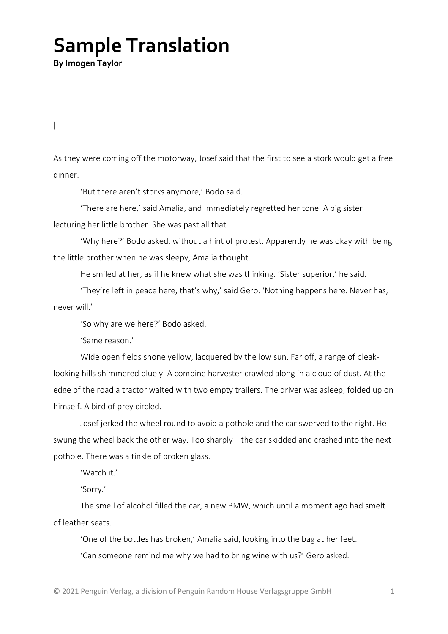## **Sample Translation**

**By Imogen Taylor**

I

As they were coming off the motorway, Josef said that the first to see a stork would get a free dinner.

'But there aren't storks anymore,' Bodo said.

'There are here,' said Amalia, and immediately regretted her tone. A big sister lecturing her little brother. She was past all that.

'Why here?' Bodo asked, without a hint of protest. Apparently he was okay with being the little brother when he was sleepy, Amalia thought.

He smiled at her, as if he knew what she was thinking. 'Sister superior,' he said.

'They're left in peace here, that's why,' said Gero. 'Nothing happens here. Never has, never will.'

'So why are we here?' Bodo asked.

'Same reason.'

Wide open fields shone yellow, lacquered by the low sun. Far off, a range of bleaklooking hills shimmered bluely. A combine harvester crawled along in a cloud of dust. At the edge of the road a tractor waited with two empty trailers. The driver was asleep, folded up on himself. A bird of prey circled.

Josef jerked the wheel round to avoid a pothole and the car swerved to the right. He swung the wheel back the other way. Too sharply—the car skidded and crashed into the next pothole. There was a tinkle of broken glass.

'Watch it.'

'Sorry.'

The smell of alcohol filled the car, a new BMW, which until a moment ago had smelt of leather seats.

'One of the bottles has broken,' Amalia said, looking into the bag at her feet. 'Can someone remind me why we had to bring wine with us?' Gero asked.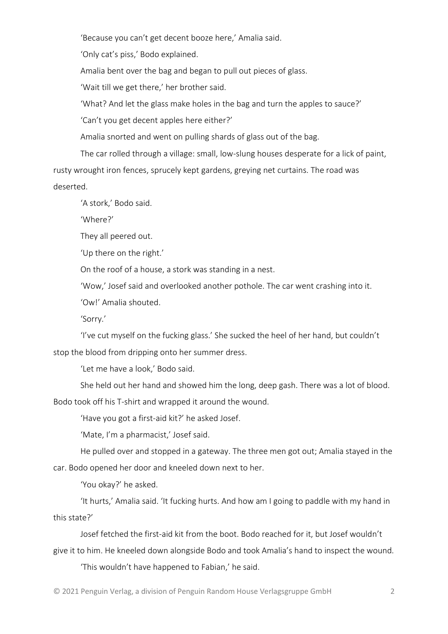'Because you can't get decent booze here,' Amalia said.

'Only cat's piss,' Bodo explained.

Amalia bent over the bag and began to pull out pieces of glass.

'Wait till we get there,' her brother said.

'What? And let the glass make holes in the bag and turn the apples to sauce?'

'Can't you get decent apples here either?'

Amalia snorted and went on pulling shards of glass out of the bag.

The car rolled through a village: small, low-slung houses desperate for a lick of paint, rusty wrought iron fences, sprucely kept gardens, greying net curtains. The road was deserted.

'A stork,' Bodo said.

'Where?'

They all peered out.

'Up there on the right.'

On the roof of a house, a stork was standing in a nest.

'Wow,' Josef said and overlooked another pothole. The car went crashing into it.

'Ow!' Amalia shouted.

'Sorry.'

'I've cut myself on the fucking glass.' She sucked the heel of her hand, but couldn't stop the blood from dripping onto her summer dress.

'Let me have a look,' Bodo said.

She held out her hand and showed him the long, deep gash. There was a lot of blood.

Bodo took off his T-shirt and wrapped it around the wound.

'Have you got a first-aid kit?' he asked Josef.

'Mate, I'm a pharmacist,' Josef said.

He pulled over and stopped in a gateway. The three men got out; Amalia stayed in the car. Bodo opened her door and kneeled down next to her.

'You okay?' he asked.

'It hurts,' Amalia said. 'It fucking hurts. And how am I going to paddle with my hand in this state?'

Josef fetched the first-aid kit from the boot. Bodo reached for it, but Josef wouldn't give it to him. He kneeled down alongside Bodo and took Amalia's hand to inspect the wound.

'This wouldn't have happened to Fabian,' he said.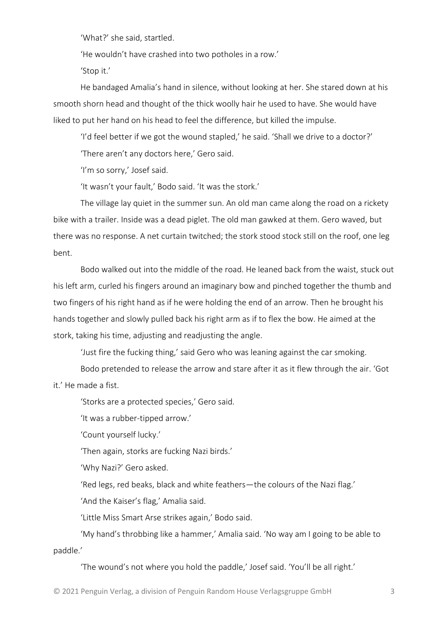'What?' she said, startled.

'He wouldn't have crashed into two potholes in a row.'

'Stop it.'

He bandaged Amalia's hand in silence, without looking at her. She stared down at his smooth shorn head and thought of the thick woolly hair he used to have. She would have liked to put her hand on his head to feel the difference, but killed the impulse.

'I'd feel better if we got the wound stapled,' he said. 'Shall we drive to a doctor?'

'There aren't any doctors here,' Gero said.

'I'm so sorry,' Josef said.

'It wasn't your fault,' Bodo said. 'It was the stork.'

The village lay quiet in the summer sun. An old man came along the road on a rickety bike with a trailer. Inside was a dead piglet. The old man gawked at them. Gero waved, but there was no response. A net curtain twitched; the stork stood stock still on the roof, one leg bent.

Bodo walked out into the middle of the road. He leaned back from the waist, stuck out his left arm, curled his fingers around an imaginary bow and pinched together the thumb and two fingers of his right hand as if he were holding the end of an arrow. Then he brought his hands together and slowly pulled back his right arm as if to flex the bow. He aimed at the stork, taking his time, adjusting and readjusting the angle.

'Just fire the fucking thing,' said Gero who was leaning against the car smoking.

Bodo pretended to release the arrow and stare after it as it flew through the air. 'Got it.' He made a fist.

'Storks are a protected species,' Gero said.

'It was a rubber-tipped arrow.'

'Count yourself lucky.'

'Then again, storks are fucking Nazi birds.'

'Why Nazi?' Gero asked.

'Red legs, red beaks, black and white feathers—the colours of the Nazi flag.'

'And the Kaiser's flag,' Amalia said.

'Little Miss Smart Arse strikes again,' Bodo said.

'My hand's throbbing like a hammer,' Amalia said. 'No way am I going to be able to paddle.'

'The wound's not where you hold the paddle,' Josef said. 'You'll be all right.'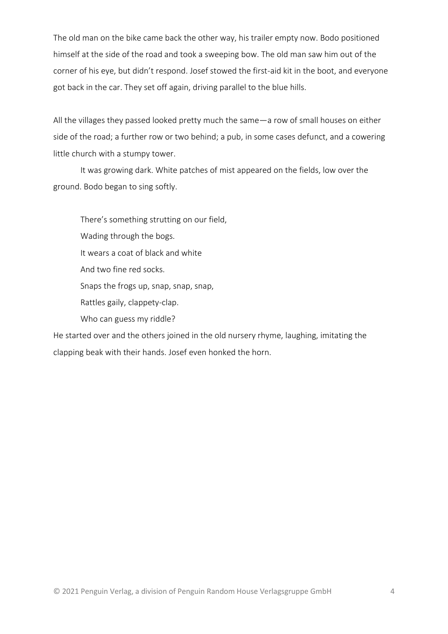The old man on the bike came back the other way, his trailer empty now. Bodo positioned himself at the side of the road and took a sweeping bow. The old man saw him out of the corner of his eye, but didn't respond. Josef stowed the first-aid kit in the boot, and everyone got back in the car. They set off again, driving parallel to the blue hills.

All the villages they passed looked pretty much the same—a row of small houses on either side of the road; a further row or two behind; a pub, in some cases defunct, and a cowering little church with a stumpy tower.

It was growing dark. White patches of mist appeared on the fields, low over the ground. Bodo began to sing softly.

There's something strutting on our field, Wading through the bogs. It wears a coat of black and white And two fine red socks. Snaps the frogs up, snap, snap, snap, Rattles gaily, clappety-clap. Who can guess my riddle?

He started over and the others joined in the old nursery rhyme, laughing, imitating the clapping beak with their hands. Josef even honked the horn.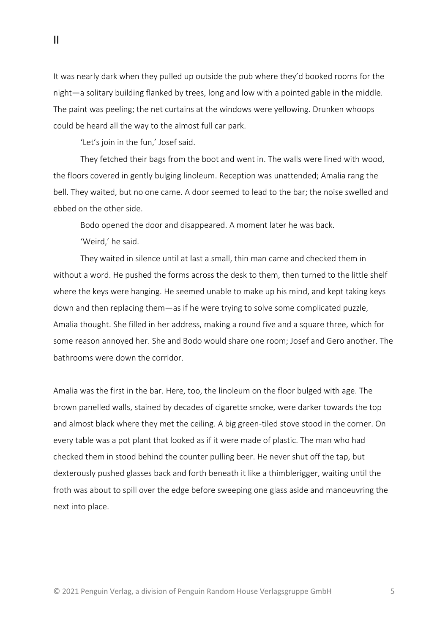It was nearly dark when they pulled up outside the pub where they'd booked rooms for the night—a solitary building flanked by trees, long and low with a pointed gable in the middle. The paint was peeling; the net curtains at the windows were yellowing. Drunken whoops could be heard all the way to the almost full car park.

'Let's join in the fun,' Josef said.

They fetched their bags from the boot and went in. The walls were lined with wood, the floors covered in gently bulging linoleum. Reception was unattended; Amalia rang the bell. They waited, but no one came. A door seemed to lead to the bar; the noise swelled and ebbed on the other side.

Bodo opened the door and disappeared. A moment later he was back. 'Weird,' he said.

They waited in silence until at last a small, thin man came and checked them in without a word. He pushed the forms across the desk to them, then turned to the little shelf where the keys were hanging. He seemed unable to make up his mind, and kept taking keys down and then replacing them—as if he were trying to solve some complicated puzzle, Amalia thought. She filled in her address, making a round five and a square three, which for some reason annoyed her. She and Bodo would share one room; Josef and Gero another. The bathrooms were down the corridor.

Amalia was the first in the bar. Here, too, the linoleum on the floor bulged with age. The brown panelled walls, stained by decades of cigarette smoke, were darker towards the top and almost black where they met the ceiling. A big green-tiled stove stood in the corner. On every table was a pot plant that looked as if it were made of plastic. The man who had checked them in stood behind the counter pulling beer. He never shut off the tap, but dexterously pushed glasses back and forth beneath it like a thimblerigger, waiting until the froth was about to spill over the edge before sweeping one glass aside and manoeuvring the next into place.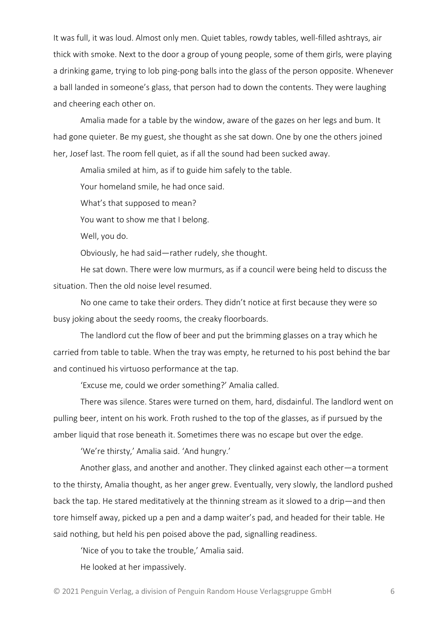It was full, it was loud. Almost only men. Quiet tables, rowdy tables, well-filled ashtrays, air thick with smoke. Next to the door a group of young people, some of them girls, were playing a drinking game, trying to lob ping-pong balls into the glass of the person opposite. Whenever a ball landed in someone's glass, that person had to down the contents. They were laughing and cheering each other on.

Amalia made for a table by the window, aware of the gazes on her legs and bum. It had gone quieter. Be my guest, she thought as she sat down. One by one the others joined her, Josef last. The room fell quiet, as if all the sound had been sucked away.

Amalia smiled at him, as if to guide him safely to the table.

Your homeland smile, he had once said.

What's that supposed to mean?

You want to show me that I belong.

Well, you do.

Obviously, he had said—rather rudely, she thought.

He sat down. There were low murmurs, as if a council were being held to discuss the situation. Then the old noise level resumed.

No one came to take their orders. They didn't notice at first because they were so busy joking about the seedy rooms, the creaky floorboards.

The landlord cut the flow of beer and put the brimming glasses on a tray which he carried from table to table. When the tray was empty, he returned to his post behind the bar and continued his virtuoso performance at the tap.

'Excuse me, could we order something?' Amalia called.

There was silence. Stares were turned on them, hard, disdainful. The landlord went on pulling beer, intent on his work. Froth rushed to the top of the glasses, as if pursued by the amber liquid that rose beneath it. Sometimes there was no escape but over the edge.

'We're thirsty,' Amalia said. 'And hungry.'

Another glass, and another and another. They clinked against each other—a torment to the thirsty, Amalia thought, as her anger grew. Eventually, very slowly, the landlord pushed back the tap. He stared meditatively at the thinning stream as it slowed to a drip—and then tore himself away, picked up a pen and a damp waiter's pad, and headed for their table. He said nothing, but held his pen poised above the pad, signalling readiness.

'Nice of you to take the trouble,' Amalia said.

He looked at her impassively.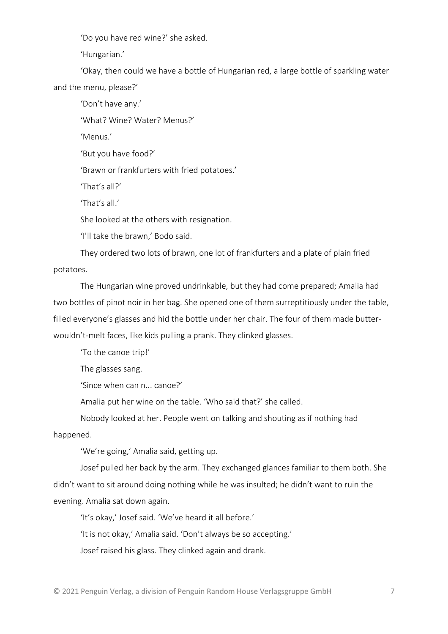'Do you have red wine?' she asked.

'Hungarian.'

'Okay, then could we have a bottle of Hungarian red, a large bottle of sparkling water and the menu, please?'

'Don't have any.'

'What? Wine? Water? Menus?'

'Menus.'

'But you have food?'

'Brawn or frankfurters with fried potatoes.'

'That's all?'

'That's all.'

She looked at the others with resignation.

'I'll take the brawn,' Bodo said.

They ordered two lots of brawn, one lot of frankfurters and a plate of plain fried potatoes.

The Hungarian wine proved undrinkable, but they had come prepared; Amalia had two bottles of pinot noir in her bag. She opened one of them surreptitiously under the table, filled everyone's glasses and hid the bottle under her chair. The four of them made butterwouldn't-melt faces, like kids pulling a prank. They clinked glasses.

'To the canoe trip!'

The glasses sang.

'Since when can n... canoe?'

Amalia put her wine on the table. 'Who said that?' she called.

Nobody looked at her. People went on talking and shouting as if nothing had happened.

'We're going,' Amalia said, getting up.

Josef pulled her back by the arm. They exchanged glances familiar to them both. She didn't want to sit around doing nothing while he was insulted; he didn't want to ruin the evening. Amalia sat down again.

'It's okay,' Josef said. 'We've heard it all before.'

'It is not okay,' Amalia said. 'Don't always be so accepting.'

Josef raised his glass. They clinked again and drank.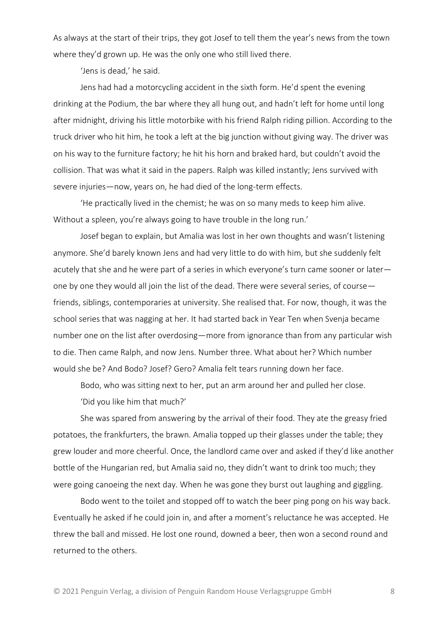As always at the start of their trips, they got Josef to tell them the year's news from the town where they'd grown up. He was the only one who still lived there.

'Jens is dead,' he said.

Jens had had a motorcycling accident in the sixth form. He'd spent the evening drinking at the Podium, the bar where they all hung out, and hadn't left for home until long after midnight, driving his little motorbike with his friend Ralph riding pillion. According to the truck driver who hit him, he took a left at the big junction without giving way. The driver was on his way to the furniture factory; he hit his horn and braked hard, but couldn't avoid the collision. That was what it said in the papers. Ralph was killed instantly; Jens survived with severe injuries—now, years on, he had died of the long-term effects.

'He practically lived in the chemist; he was on so many meds to keep him alive. Without a spleen, you're always going to have trouble in the long run.'

Josef began to explain, but Amalia was lost in her own thoughts and wasn't listening anymore. She'd barely known Jens and had very little to do with him, but she suddenly felt acutely that she and he were part of a series in which everyone's turn came sooner or later one by one they would all join the list of the dead. There were several series, of course friends, siblings, contemporaries at university. She realised that. For now, though, it was the school series that was nagging at her. It had started back in Year Ten when Svenja became number one on the list after overdosing—more from ignorance than from any particular wish to die. Then came Ralph, and now Jens. Number three. What about her? Which number would she be? And Bodo? Josef? Gero? Amalia felt tears running down her face.

Bodo, who was sitting next to her, put an arm around her and pulled her close. 'Did you like him that much?'

She was spared from answering by the arrival of their food. They ate the greasy fried potatoes, the frankfurters, the brawn. Amalia topped up their glasses under the table; they grew louder and more cheerful. Once, the landlord came over and asked if they'd like another bottle of the Hungarian red, but Amalia said no, they didn't want to drink too much; they were going canoeing the next day. When he was gone they burst out laughing and giggling.

Bodo went to the toilet and stopped off to watch the beer ping pong on his way back. Eventually he asked if he could join in, and after a moment's reluctance he was accepted. He threw the ball and missed. He lost one round, downed a beer, then won a second round and returned to the others.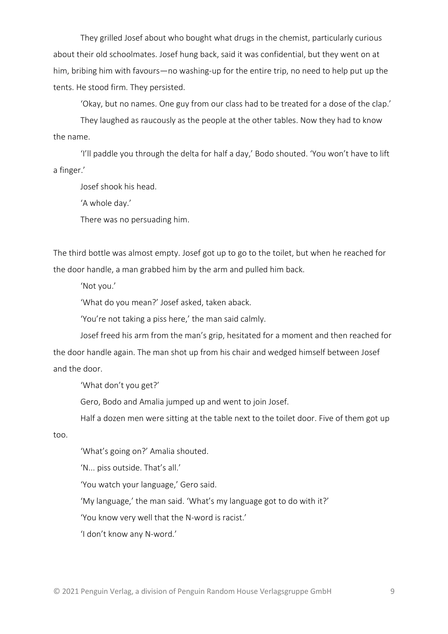They grilled Josef about who bought what drugs in the chemist, particularly curious about their old schoolmates. Josef hung back, said it was confidential, but they went on at him, bribing him with favours—no washing-up for the entire trip, no need to help put up the tents. He stood firm. They persisted.

'Okay, but no names. One guy from our class had to be treated for a dose of the clap.'

They laughed as raucously as the people at the other tables. Now they had to know the name.

'I'll paddle you through the delta for half a day,' Bodo shouted. 'You won't have to lift a finger.'

Josef shook his head.

'A whole day.'

There was no persuading him.

The third bottle was almost empty. Josef got up to go to the toilet, but when he reached for the door handle, a man grabbed him by the arm and pulled him back.

'Not you.'

'What do you mean?' Josef asked, taken aback.

'You're not taking a piss here,' the man said calmly.

Josef freed his arm from the man's grip, hesitated for a moment and then reached for the door handle again. The man shot up from his chair and wedged himself between Josef and the door.

'What don't you get?'

Gero, Bodo and Amalia jumped up and went to join Josef.

Half a dozen men were sitting at the table next to the toilet door. Five of them got up

too.

'What's going on?' Amalia shouted.

'N... piss outside. That's all.'

'You watch your language,' Gero said.

'My language,' the man said. 'What's my language got to do with it?'

'You know very well that the N-word is racist.'

'I don't know any N-word.'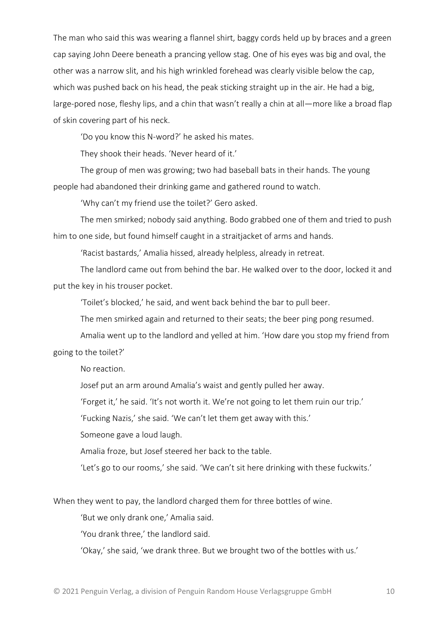The man who said this was wearing a flannel shirt, baggy cords held up by braces and a green cap saying John Deere beneath a prancing yellow stag. One of his eyes was big and oval, the other was a narrow slit, and his high wrinkled forehead was clearly visible below the cap, which was pushed back on his head, the peak sticking straight up in the air. He had a big, large-pored nose, fleshy lips, and a chin that wasn't really a chin at all—more like a broad flap of skin covering part of his neck.

'Do you know this N-word?' he asked his mates.

They shook their heads. 'Never heard of it.'

The group of men was growing; two had baseball bats in their hands. The young people had abandoned their drinking game and gathered round to watch.

'Why can't my friend use the toilet?' Gero asked.

The men smirked; nobody said anything. Bodo grabbed one of them and tried to push him to one side, but found himself caught in a straitjacket of arms and hands.

'Racist bastards,' Amalia hissed, already helpless, already in retreat.

The landlord came out from behind the bar. He walked over to the door, locked it and put the key in his trouser pocket.

'Toilet's blocked,' he said, and went back behind the bar to pull beer.

The men smirked again and returned to their seats; the beer ping pong resumed.

Amalia went up to the landlord and yelled at him. 'How dare you stop my friend from going to the toilet?'

No reaction.

Josef put an arm around Amalia's waist and gently pulled her away.

'Forget it,' he said. 'It's not worth it. We're not going to let them ruin our trip.'

'Fucking Nazis,' she said. 'We can't let them get away with this.'

Someone gave a loud laugh.

Amalia froze, but Josef steered her back to the table.

'Let's go to our rooms,' she said. 'We can't sit here drinking with these fuckwits.'

When they went to pay, the landlord charged them for three bottles of wine.

'But we only drank one,' Amalia said.

'You drank three,' the landlord said.

'Okay,' she said, 'we drank three. But we brought two of the bottles with us.'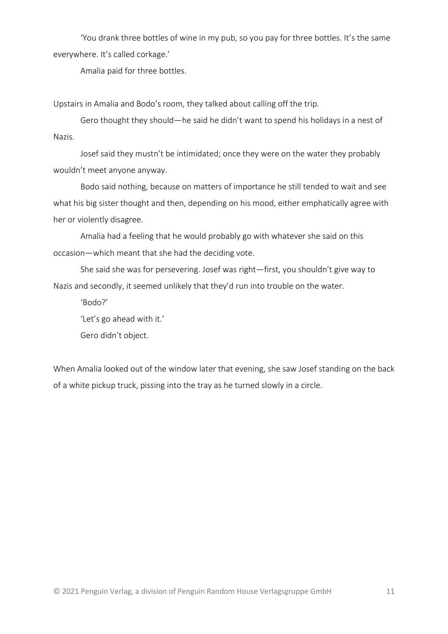'You drank three bottles of wine in my pub, so you pay for three bottles. It's the same everywhere. It's called corkage.'

Amalia paid for three bottles.

Upstairs in Amalia and Bodo's room, they talked about calling off the trip.

Gero thought they should—he said he didn't want to spend his holidays in a nest of Nazis.

Josef said they mustn't be intimidated; once they were on the water they probably wouldn't meet anyone anyway.

Bodo said nothing, because on matters of importance he still tended to wait and see what his big sister thought and then, depending on his mood, either emphatically agree with her or violently disagree.

Amalia had a feeling that he would probably go with whatever she said on this occasion—which meant that she had the deciding vote.

She said she was for persevering. Josef was right—first, you shouldn't give way to Nazis and secondly, it seemed unlikely that they'd run into trouble on the water.

'Bodo?'

'Let's go ahead with it.'

Gero didn't object.

When Amalia looked out of the window later that evening, she saw Josef standing on the back of a white pickup truck, pissing into the tray as he turned slowly in a circle.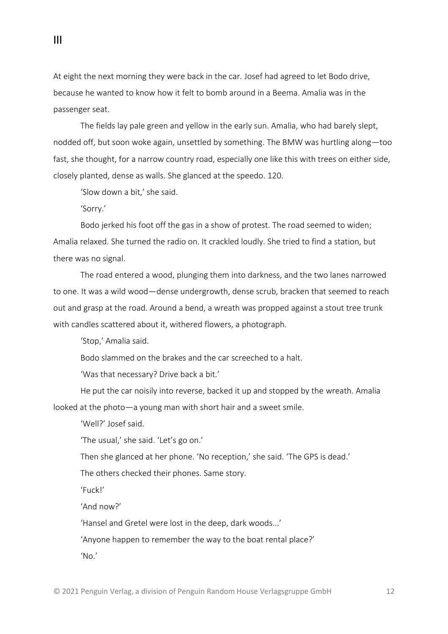At eight the next morning they were back in the car. Josef had agreed to let Bodo drive, because he wanted to know how it felt to bomb around in a Beema. Amalia was in the passenger seat.

The fields lay pale green and yellow in the early sun. Amalia, who had barely slept, nodded off, but soon woke again, unsettled by something. The BMW was hurtling along—too fast, she thought, for a narrow country road, especially one like this with trees on either side, closely planted, dense as walls. She glanced at the speedo. 120.

'Slow down a bit,' she said.

'Sorry.'

III

Bodo jerked his foot off the gas in a show of protest. The road seemed to widen; Amalia relaxed. She turned the radio on. It crackled loudly. She tried to find a station, but there was no signal.

The road entered a wood, plunging them into darkness, and the two lanes narrowed to one. It was a wild wood—dense undergrowth, dense scrub, bracken that seemed to reach out and grasp at the road. Around a bend, a wreath was propped against a stout tree trunk with candles scattered about it, withered flowers, a photograph.

'Stop,' Amalia said.

Bodo slammed on the brakes and the car screeched to a halt.

'Was that necessary? Drive back a bit.'

He put the car noisily into reverse, backed it up and stopped by the wreath. Amalia looked at the photo—a young man with short hair and a sweet smile.

'Well?' Josef said.

'The usual,' she said. 'Let's go on.'

Then she glanced at her phone. 'No reception,' she said. 'The GPS is dead.'

The others checked their phones. Same story.

'Fuck!'

'And now?'

'Hansel and Gretel were lost in the deep, dark woods...'

'Anyone happen to remember the way to the boat rental place?'

'No.'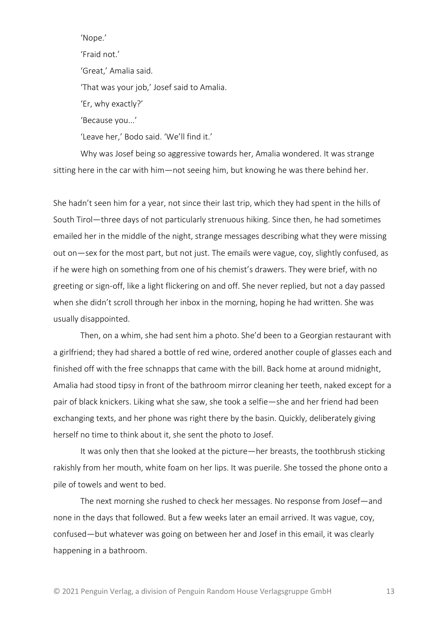'Nope.' 'Fraid not.' 'Great,' Amalia said. 'That was your job,' Josef said to Amalia. 'Er, why exactly?' 'Because you...' 'Leave her,' Bodo said. 'We'll find it.'

Why was Josef being so aggressive towards her, Amalia wondered. It was strange sitting here in the car with him—not seeing him, but knowing he was there behind her.

She hadn't seen him for a year, not since their last trip, which they had spent in the hills of South Tirol—three days of not particularly strenuous hiking. Since then, he had sometimes emailed her in the middle of the night, strange messages describing what they were missing out on—sex for the most part, but not just. The emails were vague, coy, slightly confused, as if he were high on something from one of his chemist's drawers. They were brief, with no greeting or sign-off, like a light flickering on and off. She never replied, but not a day passed when she didn't scroll through her inbox in the morning, hoping he had written. She was usually disappointed.

Then, on a whim, she had sent him a photo. She'd been to a Georgian restaurant with a girlfriend; they had shared a bottle of red wine, ordered another couple of glasses each and finished off with the free schnapps that came with the bill. Back home at around midnight, Amalia had stood tipsy in front of the bathroom mirror cleaning her teeth, naked except for a pair of black knickers. Liking what she saw, she took a selfie—she and her friend had been exchanging texts, and her phone was right there by the basin. Quickly, deliberately giving herself no time to think about it, she sent the photo to Josef.

It was only then that she looked at the picture—her breasts, the toothbrush sticking rakishly from her mouth, white foam on her lips. It was puerile. She tossed the phone onto a pile of towels and went to bed.

The next morning she rushed to check her messages. No response from Josef—and none in the days that followed. But a few weeks later an email arrived. It was vague, coy, confused—but whatever was going on between her and Josef in this email, it was clearly happening in a bathroom.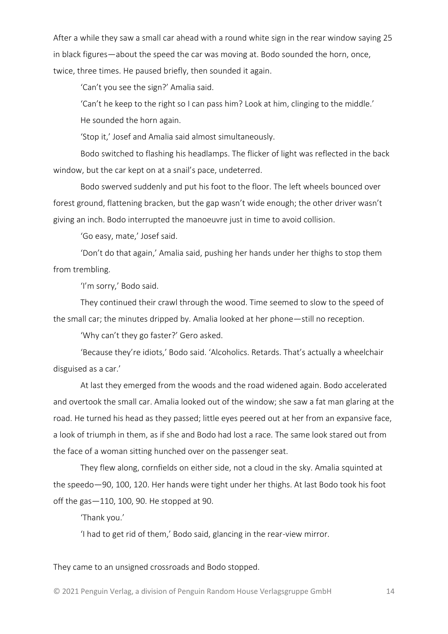After a while they saw a small car ahead with a round white sign in the rear window saying 25 in black figures—about the speed the car was moving at. Bodo sounded the horn, once, twice, three times. He paused briefly, then sounded it again.

'Can't you see the sign?' Amalia said.

'Can't he keep to the right so I can pass him? Look at him, clinging to the middle.' He sounded the horn again.

'Stop it,' Josef and Amalia said almost simultaneously.

Bodo switched to flashing his headlamps. The flicker of light was reflected in the back window, but the car kept on at a snail's pace, undeterred.

Bodo swerved suddenly and put his foot to the floor. The left wheels bounced over forest ground, flattening bracken, but the gap wasn't wide enough; the other driver wasn't giving an inch. Bodo interrupted the manoeuvre just in time to avoid collision.

'Go easy, mate,' Josef said.

'Don't do that again,' Amalia said, pushing her hands under her thighs to stop them from trembling.

'I'm sorry,' Bodo said.

They continued their crawl through the wood. Time seemed to slow to the speed of the small car; the minutes dripped by. Amalia looked at her phone—still no reception.

'Why can't they go faster?' Gero asked.

'Because they're idiots,' Bodo said. 'Alcoholics. Retards. That's actually a wheelchair disguised as a car.'

At last they emerged from the woods and the road widened again. Bodo accelerated and overtook the small car. Amalia looked out of the window; she saw a fat man glaring at the road. He turned his head as they passed; little eyes peered out at her from an expansive face, a look of triumph in them, as if she and Bodo had lost a race. The same look stared out from the face of a woman sitting hunched over on the passenger seat.

They flew along, cornfields on either side, not a cloud in the sky. Amalia squinted at the speedo—90, 100, 120. Her hands were tight under her thighs. At last Bodo took his foot off the gas—110, 100, 90. He stopped at 90.

'Thank you.'

'I had to get rid of them,' Bodo said, glancing in the rear-view mirror.

They came to an unsigned crossroads and Bodo stopped.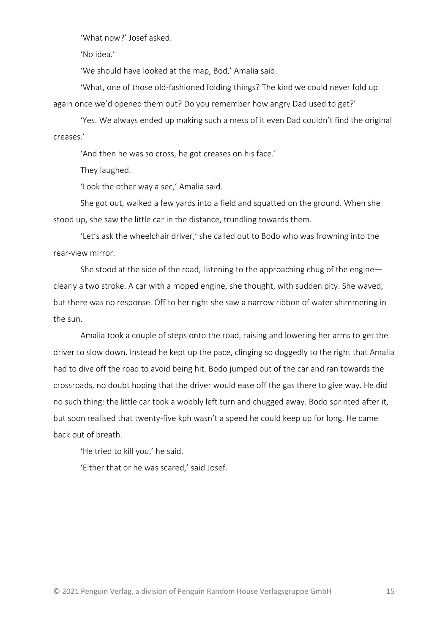'What now?' Josef asked.

'No idea.'

'We should have looked at the map, Bod,' Amalia said.

'What, one of those old-fashioned folding things? The kind we could never fold up again once we'd opened them out? Do you remember how angry Dad used to get?'

'Yes. We always ended up making such a mess of it even Dad couldn't find the original creases.'

'And then he was so cross, he got creases on his face.'

They laughed.

'Look the other way a sec,' Amalia said.

She got out, walked a few yards into a field and squatted on the ground. When she stood up, she saw the little car in the distance, trundling towards them.

'Let's ask the wheelchair driver,' she called out to Bodo who was frowning into the rear-view mirror.

She stood at the side of the road, listening to the approaching chug of the engine clearly a two stroke. A car with a moped engine, she thought, with sudden pity. She waved, but there was no response. Off to her right she saw a narrow ribbon of water shimmering in the sun.

Amalia took a couple of steps onto the road, raising and lowering her arms to get the driver to slow down. Instead he kept up the pace, clinging so doggedly to the right that Amalia had to dive off the road to avoid being hit. Bodo jumped out of the car and ran towards the crossroads, no doubt hoping that the driver would ease off the gas there to give way. He did no such thing: the little car took a wobbly left turn and chugged away. Bodo sprinted after it, but soon realised that twenty-five kph wasn't a speed he could keep up for long. He came back out of breath.

'He tried to kill you,' he said.

'Either that or he was scared,' said Josef.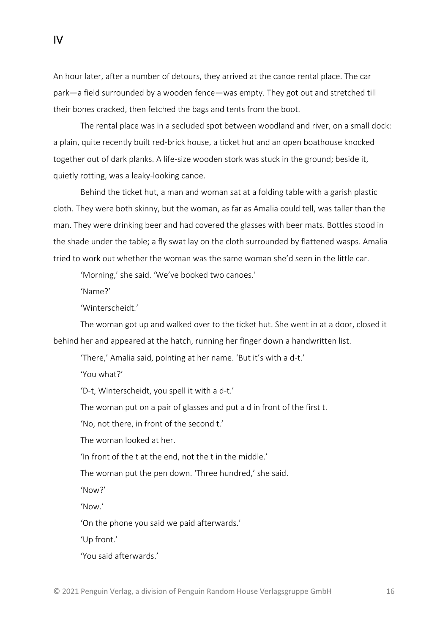An hour later, after a number of detours, they arrived at the canoe rental place. The car park—a field surrounded by a wooden fence—was empty. They got out and stretched till their bones cracked, then fetched the bags and tents from the boot.

The rental place was in a secluded spot between woodland and river, on a small dock: a plain, quite recently built red-brick house, a ticket hut and an open boathouse knocked together out of dark planks. A life-size wooden stork was stuck in the ground; beside it, quietly rotting, was a leaky-looking canoe.

Behind the ticket hut, a man and woman sat at a folding table with a garish plastic cloth. They were both skinny, but the woman, as far as Amalia could tell, was taller than the man. They were drinking beer and had covered the glasses with beer mats. Bottles stood in the shade under the table; a fly swat lay on the cloth surrounded by flattened wasps. Amalia tried to work out whether the woman was the same woman she'd seen in the little car.

'Morning,' she said. 'We've booked two canoes.'

'Name?'

IV

'Winterscheidt.'

The woman got up and walked over to the ticket hut. She went in at a door, closed it behind her and appeared at the hatch, running her finger down a handwritten list.

'There,' Amalia said, pointing at her name. 'But it's with a d-t.'

'You what?'

'D-t, Winterscheidt, you spell it with a d-t.'

The woman put on a pair of glasses and put a d in front of the first t.

'No, not there, in front of the second t.'

The woman looked at her.

'In front of the t at the end, not the t in the middle.'

The woman put the pen down. 'Three hundred,' she said.

'Now?'

'Now.'

'On the phone you said we paid afterwards.'

'Up front.'

'You said afterwards.'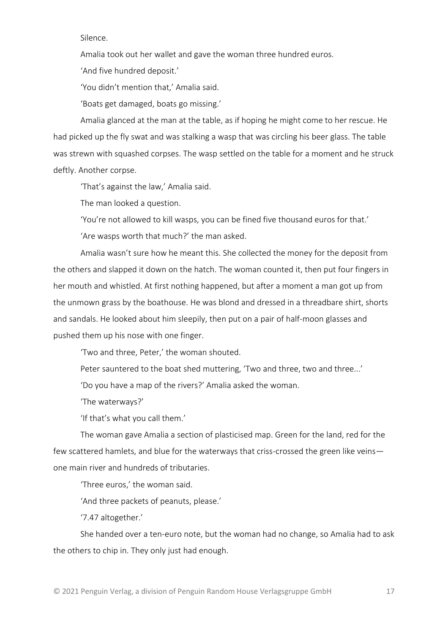Silence.

Amalia took out her wallet and gave the woman three hundred euros.

'And five hundred deposit.'

'You didn't mention that,' Amalia said.

'Boats get damaged, boats go missing.'

Amalia glanced at the man at the table, as if hoping he might come to her rescue. He had picked up the fly swat and was stalking a wasp that was circling his beer glass. The table was strewn with squashed corpses. The wasp settled on the table for a moment and he struck deftly. Another corpse.

'That's against the law,' Amalia said.

The man looked a question.

'You're not allowed to kill wasps, you can be fined five thousand euros for that.'

'Are wasps worth that much?' the man asked.

Amalia wasn't sure how he meant this. She collected the money for the deposit from the others and slapped it down on the hatch. The woman counted it, then put four fingers in her mouth and whistled. At first nothing happened, but after a moment a man got up from the unmown grass by the boathouse. He was blond and dressed in a threadbare shirt, shorts and sandals. He looked about him sleepily, then put on a pair of half-moon glasses and pushed them up his nose with one finger.

'Two and three, Peter,' the woman shouted.

Peter sauntered to the boat shed muttering, 'Two and three, two and three...'

'Do you have a map of the rivers?' Amalia asked the woman.

'The waterways?'

'If that's what you call them.'

The woman gave Amalia a section of plasticised map. Green for the land, red for the few scattered hamlets, and blue for the waterways that criss-crossed the green like veins one main river and hundreds of tributaries.

'Three euros,' the woman said.

'And three packets of peanuts, please.'

'7.47 altogether.'

She handed over a ten-euro note, but the woman had no change, so Amalia had to ask the others to chip in. They only just had enough.